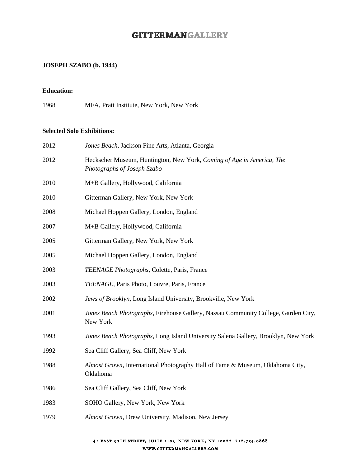# **GITTERMANGALLERY**

#### **JOSEPH SZABO (b. 1944)**

#### **Education:**

MFA, Pratt Institute, New York, New York

#### **Selected Solo Exhibitions:**

| 2012 | Jones Beach, Jackson Fine Arts, Atlanta, Georgia                                                     |
|------|------------------------------------------------------------------------------------------------------|
| 2012 | Heckscher Museum, Huntington, New York, Coming of Age in America, The<br>Photographs of Joseph Szabo |
| 2010 | M+B Gallery, Hollywood, California                                                                   |
| 2010 | Gitterman Gallery, New York, New York                                                                |
| 2008 | Michael Hoppen Gallery, London, England                                                              |
| 2007 | M+B Gallery, Hollywood, California                                                                   |
| 2005 | Gitterman Gallery, New York, New York                                                                |
| 2005 | Michael Hoppen Gallery, London, England                                                              |
| 2003 | TEENAGE Photographs, Colette, Paris, France                                                          |
| 2003 | TEENAGE, Paris Photo, Louvre, Paris, France                                                          |
| 2002 | Jews of Brooklyn, Long Island University, Brookville, New York                                       |
| 2001 | Jones Beach Photographs, Firehouse Gallery, Nassau Community College, Garden City,<br>New York       |
| 1993 | Jones Beach Photographs, Long Island University Salena Gallery, Brooklyn, New York                   |
| 1992 | Sea Cliff Gallery, Sea Cliff, New York                                                               |
| 1988 | Almost Grown, International Photography Hall of Fame & Museum, Oklahoma City,<br>Oklahoma            |
| 1986 | Sea Cliff Gallery, Sea Cliff, New York                                                               |
| 1983 | SOHO Gallery, New York, New York                                                                     |
| 1979 | Almost Grown, Drew University, Madison, New Jersey                                                   |
|      |                                                                                                      |

#### 41 EAST 57TH STREET, SUITE 1103 NEW YORK, NY 10022 212.734.0868 WWW.GITTERMANGALLERY.COM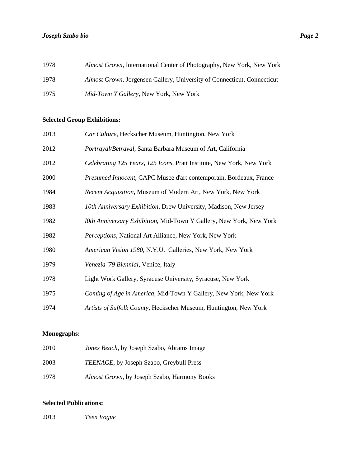| 1978 | Almost Grown, International Center of Photography, New York, New York          |
|------|--------------------------------------------------------------------------------|
| 1978 | <i>Almost Grown, Jorgensen Gallery, University of Connecticut, Connecticut</i> |
| 1975 | <i>Mid-Town Y Gallery, New York, New York</i>                                  |

# **Selected Group Exhibitions:**

| 2013 | Car Culture, Heckscher Museum, Huntington, New York                   |
|------|-----------------------------------------------------------------------|
| 2012 | Portrayal/Betrayal, Santa Barbara Museum of Art, California           |
| 2012 | Celebrating 125 Years, 125 Icons, Pratt Institute, New York, New York |
| 2000 | Presumed Innocent, CAPC Musee d'art contemporain, Bordeaux, France    |
| 1984 | Recent Acquisition, Museum of Modern Art, New York, New York          |
| 1983 | 10th Anniversary Exhibition, Drew University, Madison, New Jersey     |
| 1982 | l0th Anniversary Exhibition, Mid-Town Y Gallery, New York, New York   |
| 1982 | Perceptions, National Art Alliance, New York, New York                |
| 1980 | American Vision 1980, N.Y.U. Galleries, New York, New York            |
| 1979 | Venezia '79 Biennial, Venice, Italy                                   |
| 1978 | Light Work Gallery, Syracuse University, Syracuse, New York           |
| 1975 | Coming of Age in America, Mid-Town Y Gallery, New York, New York      |
| 1974 | Artists of Suffolk County, Heckscher Museum, Huntington, New York     |

### **Monographs:**

| 2010 | Jones Beach, by Joseph Szabo, Abrams Image       |
|------|--------------------------------------------------|
| 2003 | <i>TEENAGE</i> , by Joseph Szabo, Greybull Press |
| 1978 | Almost Grown, by Joseph Szabo, Harmony Books     |

# **Selected Publications:**

*Teen Vogue*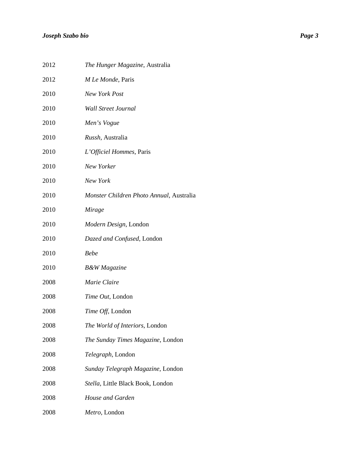| 2012 | The Hunger Magazine, Australia           |
|------|------------------------------------------|
| 2012 | M Le Monde, Paris                        |
| 2010 | New York Post                            |
| 2010 | <b>Wall Street Journal</b>               |
| 2010 | Men's Vogue                              |
| 2010 | Russh, Australia                         |
| 2010 | L'Officiel Hommes, Paris                 |
| 2010 | New Yorker                               |
| 2010 | New York                                 |
| 2010 | Monster Children Photo Annual, Australia |
| 2010 | Mirage                                   |
| 2010 | Modern Design, London                    |
| 2010 | Dazed and Confused, London               |
| 2010 | <b>Bebe</b>                              |
| 2010 | <b>B&amp;W</b> Magazine                  |
| 2008 | Marie Claire                             |
| 2008 | Time Out, London                         |
| 2008 | Time Off, London                         |
| 2008 | The World of Interiors, London           |
| 2008 | The Sunday Times Magazine, London        |
| 2008 | Telegraph, London                        |
| 2008 | Sunday Telegraph Magazine, London        |
| 2008 | Stella, Little Black Book, London        |
| 2008 | House and Garden                         |
| 2008 | Metro, London                            |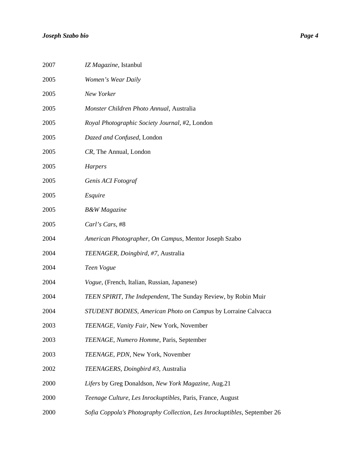| 2007 | IZ Magazine, Istanbul                                                    |
|------|--------------------------------------------------------------------------|
| 2005 | Women's Wear Daily                                                       |
| 2005 | New Yorker                                                               |
| 2005 | Monster Children Photo Annual, Australia                                 |
| 2005 | Royal Photographic Society Journal, #2, London                           |
| 2005 | Dazed and Confused, London                                               |
| 2005 | CR, The Annual, London                                                   |
| 2005 | <b>Harpers</b>                                                           |
| 2005 | Genis ACI Fotograf                                                       |
| 2005 | Esquire                                                                  |
| 2005 | <b>B&amp;W</b> Magazine                                                  |
| 2005 | Carl's Cars, #8                                                          |
| 2004 | American Photographer, On Campus, Mentor Joseph Szabo                    |
| 2004 | TEENAGER, Doingbird, #7, Australia                                       |
| 2004 | Teen Vogue                                                               |
| 2004 | Vogue, (French, Italian, Russian, Japanese)                              |
| 2004 | TEEN SPIRIT, The Independent, The Sunday Review, by Robin Muir           |
| 2004 | STUDENT BODIES, American Photo on Campus by Lorraine Calvacca            |
| 2003 | TEENAGE, Vanity Fair, New York, November                                 |
| 2003 | TEENAGE, Numero Homme, Paris, September                                  |
| 2003 | TEENAGE, PDN, New York, November                                         |
| 2002 | TEENAGERS, Doingbird #3, Australia                                       |
| 2000 | Lifers by Greg Donaldson, New York Magazine, Aug.21                      |
| 2000 | Teenage Culture, Les Inrockuptibles, Paris, France, August               |
| 2000 | Sofia Coppola's Photography Collection, Les Inrockuptibles, September 26 |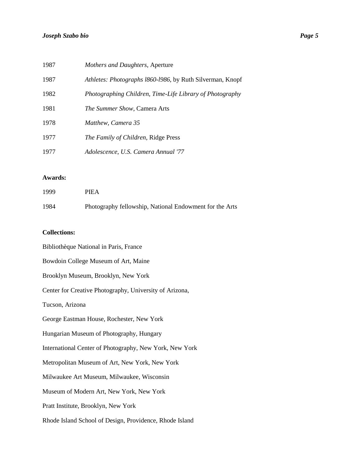| 1987 | Mothers and Daughters, Aperture                           |
|------|-----------------------------------------------------------|
| 1987 | Athletes: Photographs 1860-1986, by Ruth Silverman, Knopf |
| 1982 | Photographing Children, Time-Life Library of Photography  |
| 1981 | <i>The Summer Show, Camera Arts</i>                       |
| 1978 | Matthew, Camera 35                                        |
| 1977 | <i>The Family of Children, Ridge Press</i>                |
| 1977 | Adolescence, U.S. Camera Annual '77                       |

#### **Awards:**

| 1999 | <b>PIEA</b>                                             |
|------|---------------------------------------------------------|
| 1984 | Photography fellowship, National Endowment for the Arts |

### **Collections:**

| Bibliothèque National in Paris, France                  |
|---------------------------------------------------------|
| Bowdoin College Museum of Art, Maine                    |
| Brooklyn Museum, Brooklyn, New York                     |
| Center for Creative Photography, University of Arizona, |
| Tucson, Arizona                                         |
| George Eastman House, Rochester, New York               |
| Hungarian Museum of Photography, Hungary                |
| International Center of Photography, New York, New York |
| Metropolitan Museum of Art, New York, New York          |
| Milwaukee Art Museum, Milwaukee, Wisconsin              |
| Museum of Modern Art, New York, New York                |
| Pratt Institute, Brooklyn, New York                     |
| Rhode Island School of Design, Providence, Rhode Island |
|                                                         |